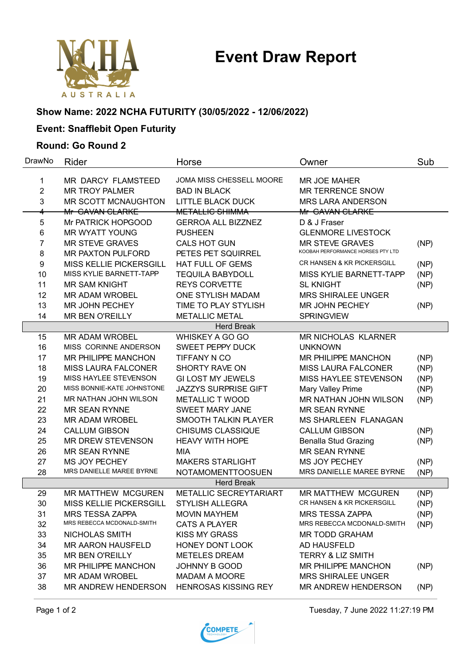

## **Show Name: 2022 NCHA FUTURITY (30/05/2022 - 12/06/2022)**

# **Event: Snafflebit Open Futurity**

#### **Round: Go Round 2**

| DrawNo            | Rider                          | Horse                       | Owner                                 | Sub  |  |  |  |
|-------------------|--------------------------------|-----------------------------|---------------------------------------|------|--|--|--|
| 1                 | MR DARCY FLAMSTEED             | JOMA MISS CHESSELL MOORE    | <b>MR JOE MAHER</b>                   |      |  |  |  |
| $\overline{2}$    | <b>MR TROY PALMER</b>          | <b>BAD IN BLACK</b>         | <b>MR TERRENCE SNOW</b>               |      |  |  |  |
| 3                 | MR SCOTT MCNAUGHTON            | <b>LITTLE BLACK DUCK</b>    | <b>MRS LARA ANDERSON</b>              |      |  |  |  |
|                   | Mr GAVAN CLARKE                | <b>METALLIC SHIMMA</b>      | Mr GAVAN CLARKE                       |      |  |  |  |
| 5                 | Mr PATRICK HOPGOOD             | <b>GERROA ALL BIZZNEZ</b>   | D & J Fraser                          |      |  |  |  |
| 6                 | <b>MR WYATT YOUNG</b>          | <b>PUSHEEN</b>              | <b>GLENMORE LIVESTOCK</b>             |      |  |  |  |
| 7                 | <b>MR STEVE GRAVES</b>         | <b>CALS HOT GUN</b>         | <b>MR STEVE GRAVES</b>                | (NP) |  |  |  |
| 8                 | MR PAXTON PULFORD              | PETES PET SQUIRREL          | KOOBAH PERFORMANCE HORSES PTY LTD     |      |  |  |  |
| 9                 | MISS KELLIE PICKERSGILL        | HAT FULL OF GEMS            | <b>CR HANSEN &amp; KR PICKERSGILL</b> | (NP) |  |  |  |
| 10                | MISS KYLIE BARNETT-TAPP        | <b>TEQUILA BABYDOLL</b>     | MISS KYLIE BARNETT-TAPP               | (NP) |  |  |  |
| 11                | <b>MR SAM KNIGHT</b>           | <b>REYS CORVETTE</b>        | <b>SL KNIGHT</b>                      | (NP) |  |  |  |
| 12                | <b>MR ADAM WROBEL</b>          | ONE STYLISH MADAM           | <b>MRS SHIRALEE UNGER</b>             |      |  |  |  |
| 13                | MR JOHN PECHEY                 | TIME TO PLAY STYLISH        | MR JOHN PECHEY                        | (NP) |  |  |  |
| 14                | <b>MR BEN O'REILLY</b>         | <b>METALLIC METAL</b>       | <b>SPRINGVIEW</b>                     |      |  |  |  |
|                   |                                | <b>Herd Break</b>           |                                       |      |  |  |  |
| 15                | <b>MR ADAM WROBEL</b>          | WHISKEY A GO GO             | <b>MR NICHOLAS KLARNER</b>            |      |  |  |  |
| 16                | MISS CORINNE ANDERSON          | <b>SWEET PEPPY DUCK</b>     | <b>UNKNOWN</b>                        |      |  |  |  |
| 17                | MR PHILIPPE MANCHON            | TIFFANY N CO                | MR PHILIPPE MANCHON                   | (NP) |  |  |  |
| 18                | <b>MISS LAURA FALCONER</b>     | <b>SHORTY RAVE ON</b>       | <b>MISS LAURA FALCONER</b>            | (NP) |  |  |  |
| 19                | MISS HAYLEE STEVENSON          | <b>GI LOST MY JEWELS</b>    | MISS HAYLEE STEVENSON                 | (NP) |  |  |  |
| 20                | MISS BONNIE-KATE JOHNSTONE     | <b>JAZZYS SURPRISE GIFT</b> | Mary Valley Prime                     | (NP) |  |  |  |
| 21                | MR NATHAN JOHN WILSON          | <b>METALLIC T WOOD</b>      | MR NATHAN JOHN WILSON                 | (NP) |  |  |  |
| 22                | <b>MR SEAN RYNNE</b>           | <b>SWEET MARY JANE</b>      | <b>MR SEAN RYNNE</b>                  |      |  |  |  |
| 23                | <b>MR ADAM WROBEL</b>          | <b>SMOOTH TALKIN PLAYER</b> | MS SHARLEEN FLANAGAN                  |      |  |  |  |
| 24                | <b>CALLUM GIBSON</b>           | <b>CHISUMS CLASSIQUE</b>    | <b>CALLUM GIBSON</b>                  | (NP) |  |  |  |
| 25                | MR DREW STEVENSON              | <b>HEAVY WITH HOPE</b>      | <b>Benalla Stud Grazing</b>           | (NP) |  |  |  |
| 26                | <b>MR SEAN RYNNE</b>           | <b>MIA</b>                  | <b>MR SEAN RYNNE</b>                  |      |  |  |  |
| 27                | <b>MS JOY PECHEY</b>           | <b>MAKERS STARLIGHT</b>     | MS JOY PECHEY                         | (NP) |  |  |  |
| 28                | MRS DANIELLE MAREE BYRNE       | NOTAMOMENTTOOSUEN           | MRS DANIELLE MAREE BYRNE              | (NP) |  |  |  |
| <b>Herd Break</b> |                                |                             |                                       |      |  |  |  |
| 29                | <b>MR MATTHEW MCGUREN</b>      | METALLIC SECREYTARIART      | <b>MR MATTHEW MCGUREN</b>             | (NP) |  |  |  |
| 30                | <b>MISS KELLIE PICKERSGILL</b> | <b>STYLISH ALLEGRA</b>      | <b>CR HANSEN &amp; KR PICKERSGILL</b> | (NP) |  |  |  |
| 31                | <b>MRS TESSA ZAPPA</b>         | <b>MOVIN MAYHEM</b>         | <b>MRS TESSA ZAPPA</b>                | (NP) |  |  |  |
| 32                | MRS REBECCA MCDONALD-SMITH     | <b>CATS A PLAYER</b>        | MRS REBECCA MCDONALD-SMITH            | (NP) |  |  |  |
| 33                | NICHOLAS SMITH                 | <b>KISS MY GRASS</b>        | <b>MR TODD GRAHAM</b>                 |      |  |  |  |
| 34                | <b>MR AARON HAUSFELD</b>       | HONEY DONT LOOK             | AD HAUSFELD                           |      |  |  |  |
| 35                | <b>MR BEN O'REILLY</b>         | <b>METELES DREAM</b>        | <b>TERRY &amp; LIZ SMITH</b>          |      |  |  |  |
| 36                | <b>MR PHILIPPE MANCHON</b>     | <b>JOHNNY B GOOD</b>        | MR PHILIPPE MANCHON                   | (NP) |  |  |  |
| 37                | MR ADAM WROBEL                 | <b>MADAM A MOORE</b>        | <b>MRS SHIRALEE UNGER</b>             |      |  |  |  |
| 38                | MR ANDREW HENDERSON            | <b>HENROSAS KISSING REY</b> | MR ANDREW HENDERSON                   | (NP) |  |  |  |